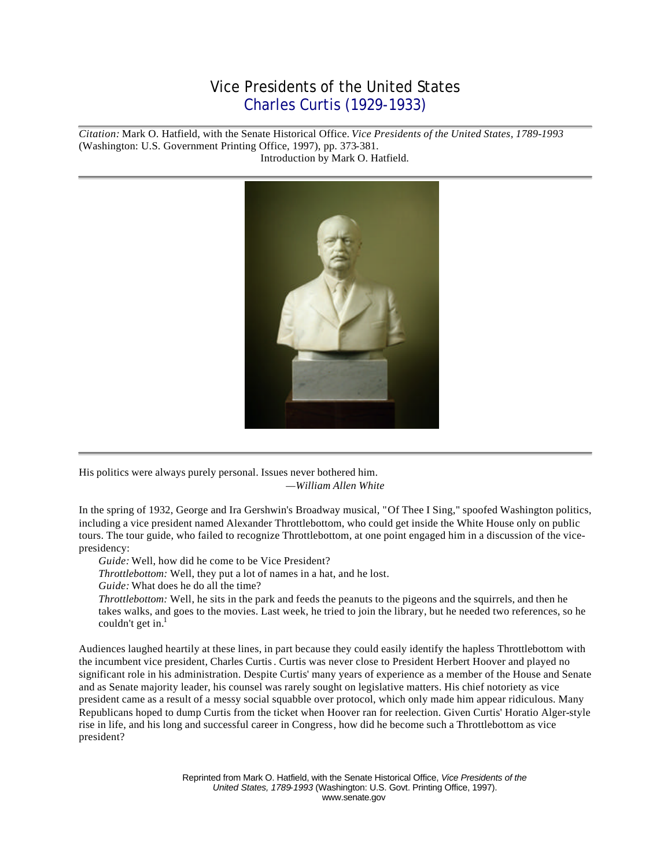# Vice Presidents of the United States Charles Curtis (1929-1933)

*Citation:* Mark O. Hatfield, with the Senate Historical Office. *Vice Presidents of the United States, 1789-1993* (Washington: U.S. Government Printing Office, 1997), pp. 373-381. Introduction by Mark O. Hatfield.



His politics were always purely personal. Issues never bothered him. *—William Allen White*

In the spring of 1932, George and Ira Gershwin's Broadway musical, "Of Thee I Sing," spoofed Washington politics, including a vice president named Alexander Throttlebottom, who could get inside the White House only on public tours. The tour guide, who failed to recognize Throttlebottom, at one point engaged him in a discussion of the vicepresidency:

*Guide:* Well, how did he come to be Vice President?

*Throttlebottom:* Well, they put a lot of names in a hat, and he lost.

*Guide:* What does he do all the time?

*Throttlebottom:* Well, he sits in the park and feeds the peanuts to the pigeons and the squirrels, and then he takes walks, and goes to the movies. Last week, he tried to join the library, but he needed two references, so he couldn't get in. $<sup>1</sup>$ </sup>

Audiences laughed heartily at these lines, in part because they could easily identify the hapless Throttlebottom with the incumbent vice president, Charles Curtis. Curtis was never close to President Herbert Hoover and played no significant role in his administration. Despite Curtis' many years of experience as a member of the House and Senate and as Senate majority leader, his counsel was rarely sought on legislative matters. His chief notoriety as vice president came as a result of a messy social squabble over protocol, which only made him appear ridiculous. Many Republicans hoped to dump Curtis from the ticket when Hoover ran for reelection. Given Curtis' Horatio Alger-style rise in life, and his long and successful career in Congress, how did he become such a Throttlebottom as vice president?

> Reprinted from Mark O. Hatfield, with the Senate Historical Office, *Vice Presidents of the United States, 1789-1993* (Washington: U.S. Govt. Printing Office, 1997). www.senate.gov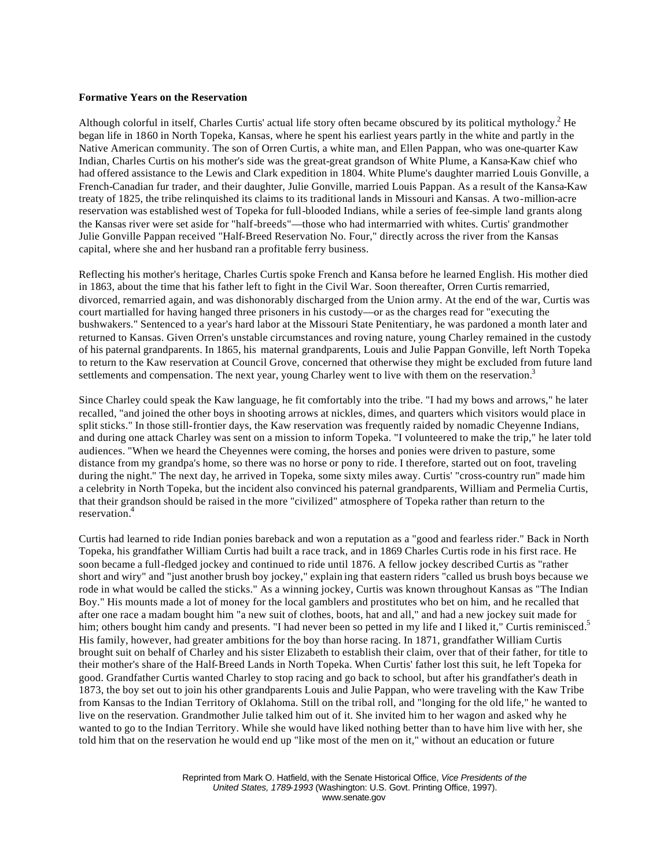#### **Formative Years on the Reservation**

Although colorful in itself, Charles Curtis' actual life story often became obscured by its political mythology.<sup>2</sup> He began life in 1860 in North Topeka, Kansas, where he spent his earliest years partly in the white and partly in the Native American community. The son of Orren Curtis, a white man, and Ellen Pappan, who was one-quarter Kaw Indian, Charles Curtis on his mother's side was the great-great grandson of White Plume, a Kansa-Kaw chief who had offered assistance to the Lewis and Clark expedition in 1804. White Plume's daughter married Louis Gonville, a French-Canadian fur trader, and their daughter, Julie Gonville, married Louis Pappan. As a result of the Kansa-Kaw treaty of 1825, the tribe relinquished its claims to its traditional lands in Missouri and Kansas. A two-million-acre reservation was established west of Topeka for full-blooded Indians, while a series of fee-simple land grants along the Kansas river were set aside for "half-breeds"—those who had intermarried with whites. Curtis' grandmother Julie Gonville Pappan received "Half-Breed Reservation No. Four," directly across the river from the Kansas capital, where she and her husband ran a profitable ferry business.

Reflecting his mother's heritage, Charles Curtis spoke French and Kansa before he learned English. His mother died in 1863, about the time that his father left to fight in the Civil War. Soon thereafter, Orren Curtis remarried, divorced, remarried again, and was dishonorably discharged from the Union army. At the end of the war, Curtis was court martialled for having hanged three prisoners in his custody—or as the charges read for "executing the bushwakers." Sentenced to a year's hard labor at the Missouri State Penitentiary, he was pardoned a month later and returned to Kansas. Given Orren's unstable circumstances and roving nature, young Charley remained in the custody of his paternal grandparents. In 1865, his maternal grandparents, Louis and Julie Pappan Gonville, left North Topeka to return to the Kaw reservation at Council Grove, concerned that otherwise they might be excluded from future land settlements and compensation. The next year, young Charley went to live with them on the reservation.<sup>3</sup>

Since Charley could speak the Kaw language, he fit comfortably into the tribe. "I had my bows and arrows," he later recalled, "and joined the other boys in shooting arrows at nickles, dimes, and quarters which visitors would place in split sticks." In those still-frontier days, the Kaw reservation was frequently raided by nomadic Cheyenne Indians, and during one attack Charley was sent on a mission to inform Topeka. "I volunteered to make the trip," he later told audiences. "When we heard the Cheyennes were coming, the horses and ponies were driven to pasture, some distance from my grandpa's home, so there was no horse or pony to ride. I therefore, started out on foot, traveling during the night." The next day, he arrived in Topeka, some sixty miles away. Curtis' "cross-country run" made him a celebrity in North Topeka, but the incident also convinced his paternal grandparents, William and Permelia Curtis, that their grandson should be raised in the more "civilized" atmosphere of Topeka rather than return to the reservation.<sup>4</sup>

Curtis had learned to ride Indian ponies bareback and won a reputation as a "good and fearless rider." Back in North Topeka, his grandfather William Curtis had built a race track, and in 1869 Charles Curtis rode in his first race. He soon became a full-fledged jockey and continued to ride until 1876. A fellow jockey described Curtis as "rather short and wiry" and "just another brush boy jockey," explain ing that eastern riders "called us brush boys because we rode in what would be called the sticks." As a winning jockey, Curtis was known throughout Kansas as "The Indian Boy." His mounts made a lot of money for the local gamblers and prostitutes who bet on him, and he recalled that after one race a madam bought him "a new suit of clothes, boots, hat and all," and had a new jockey suit made for him; others bought him candy and presents. "I had never been so petted in my life and I liked it," Curtis reminisced.<sup>5</sup> His family, however, had greater ambitions for the boy than horse racing. In 1871, grandfather William Curtis brought suit on behalf of Charley and his sister Elizabeth to establish their claim, over that of their father, for title to their mother's share of the Half-Breed Lands in North Topeka. When Curtis' father lost this suit, he left Topeka for good. Grandfather Curtis wanted Charley to stop racing and go back to school, but after his grandfather's death in 1873, the boy set out to join his other grandparents Louis and Julie Pappan, who were traveling with the Kaw Tribe from Kansas to the Indian Territory of Oklahoma. Still on the tribal roll, and "longing for the old life," he wanted to live on the reservation. Grandmother Julie talked him out of it. She invited him to her wagon and asked why he wanted to go to the Indian Territory. While she would have liked nothing better than to have him live with her, she told him that on the reservation he would end up "like most of the men on it," without an education or future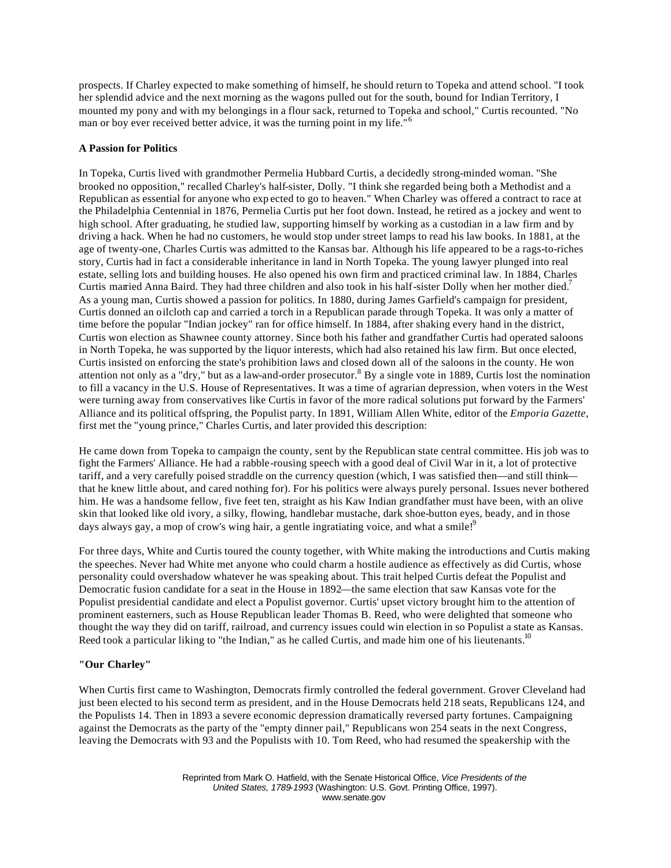prospects. If Charley expected to make something of himself, he should return to Topeka and attend school. "I took her splendid advice and the next morning as the wagons pulled out for the south, bound for Indian Territory, I mounted my pony and with my belongings in a flour sack, returned to Topeka and school," Curtis recounted. "No man or boy ever received better advice, it was the turning point in my life."<sup>6</sup>

## **A Passion for Politics**

In Topeka, Curtis lived with grandmother Permelia Hubbard Curtis, a decidedly strong-minded woman. "She brooked no opposition," recalled Charley's half-sister, Dolly. "I think she regarded being both a Methodist and a Republican as essential for anyone who exp ected to go to heaven." When Charley was offered a contract to race at the Philadelphia Centennial in 1876, Permelia Curtis put her foot down. Instead, he retired as a jockey and went to high school. After graduating, he studied law, supporting himself by working as a custodian in a law firm and by driving a hack. When he had no customers, he would stop under street lamps to read his law books. In 1881, at the age of twenty-one, Charles Curtis was admitted to the Kansas bar. Although his life appeared to be a rags-to-riches story, Curtis had in fact a considerable inheritance in land in North Topeka. The young lawyer plunged into real estate, selling lots and building houses. He also opened his own firm and practiced criminal law. In 1884, Charles Curtis married Anna Baird. They had three children and also took in his half-sister Dolly when her mother died.<sup>7</sup> As a young man, Curtis showed a passion for politics. In 1880, during James Garfield's campaign for president, Curtis donned an oilcloth cap and carried a torch in a Republican parade through Topeka. It was only a matter of time before the popular "Indian jockey" ran for office himself. In 1884, after shaking every hand in the district, Curtis won election as Shawnee county attorney. Since both his father and grandfather Curtis had operated saloons in North Topeka, he was supported by the liquor interests, which had also retained his law firm. But once elected, Curtis insisted on enforcing the state's prohibition laws and closed down all of the saloons in the county. He won attention not only as a "dry," but as a law-and-order prosecutor.<sup>8</sup> By a single vote in 1889, Curtis lost the nomination to fill a vacancy in the U.S. House of Representatives. It was a time of agrarian depression, when voters in the West were turning away from conservatives like Curtis in favor of the more radical solutions put forward by the Farmers' Alliance and its political offspring, the Populist party. In 1891, William Allen White, editor of the *Emporia Gazette*, first met the "young prince," Charles Curtis, and later provided this description:

He came down from Topeka to campaign the county, sent by the Republican state central committee. His job was to fight the Farmers' Alliance. He had a rabble-rousing speech with a good deal of Civil War in it, a lot of protective tariff, and a very carefully poised straddle on the currency question (which, I was satisfied then—and still think that he knew little about, and cared nothing for). For his politics were always purely personal. Issues never bothered him. He was a handsome fellow, five feet ten, straight as his Kaw Indian grandfather must have been, with an olive skin that looked like old ivory, a silky, flowing, handlebar mustache, dark shoe-button eyes, beady, and in those days always gay, a mop of crow's wing hair, a gentle ingratiating voice, and what a smile!<sup>9</sup>

For three days, White and Curtis toured the county together, with White making the introductions and Curtis making the speeches. Never had White met anyone who could charm a hostile audience as effectively as did Curtis, whose personality could overshadow whatever he was speaking about. This trait helped Curtis defeat the Populist and Democratic fusion candidate for a seat in the House in 1892—the same election that saw Kansas vote for the Populist presidential candidate and elect a Populist governor. Curtis' upset victory brought him to the attention of prominent easterners, such as House Republican leader Thomas B. Reed, who were delighted that someone who thought the way they did on tariff, railroad, and currency issues could win election in so Populist a state as Kansas. Reed took a particular liking to "the Indian," as he called Curtis, and made him one of his lieutenants.<sup>10</sup>

#### **"Our Charley"**

When Curtis first came to Washington, Democrats firmly controlled the federal government. Grover Cleveland had just been elected to his second term as president, and in the House Democrats held 218 seats, Republicans 124, and the Populists 14. Then in 1893 a severe economic depression dramatically reversed party fortunes. Campaigning against the Democrats as the party of the "empty dinner pail," Republicans won 254 seats in the next Congress, leaving the Democrats with 93 and the Populists with 10. Tom Reed, who had resumed the speakership with the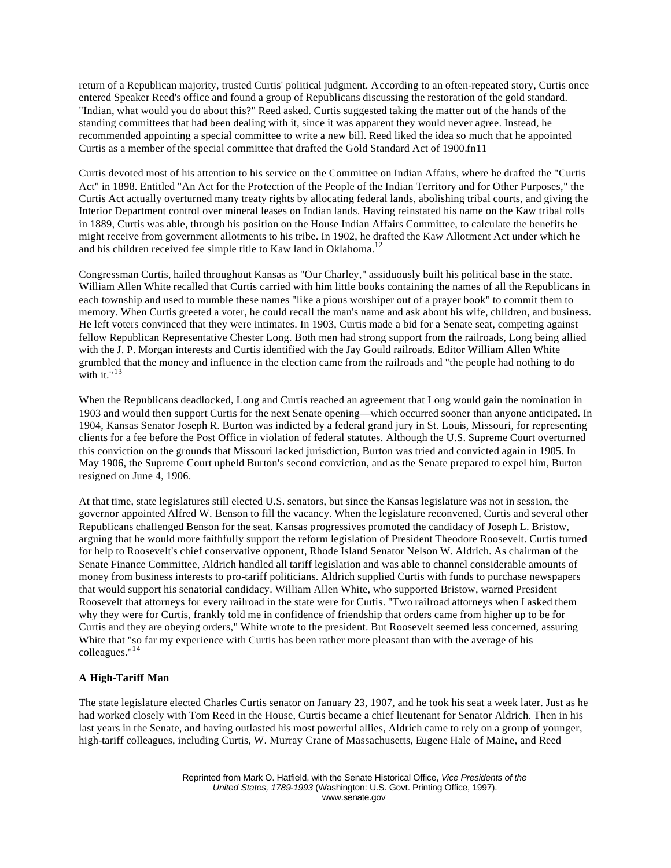return of a Republican majority, trusted Curtis' political judgment. According to an often-repeated story, Curtis once entered Speaker Reed's office and found a group of Republicans discussing the restoration of the gold standard. "Indian, what would you do about this?" Reed asked. Curtis suggested taking the matter out of the hands of the standing committees that had been dealing with it, since it was apparent they would never agree. Instead, he recommended appointing a special committee to write a new bill. Reed liked the idea so much that he appointed Curtis as a member of the special committee that drafted the Gold Standard Act of 1900.fn11

Curtis devoted most of his attention to his service on the Committee on Indian Affairs, where he drafted the "Curtis Act" in 1898. Entitled "An Act for the Protection of the People of the Indian Territory and for Other Purposes," the Curtis Act actually overturned many treaty rights by allocating federal lands, abolishing tribal courts, and giving the Interior Department control over mineral leases on Indian lands. Having reinstated his name on the Kaw tribal rolls in 1889, Curtis was able, through his position on the House Indian Affairs Committee, to calculate the benefits he might receive from government allotments to his tribe. In 1902, he drafted the Kaw Allotment Act under which he and his children received fee simple title to Kaw land in Oklahoma.<sup>12</sup>

Congressman Curtis, hailed throughout Kansas as "Our Charley," assiduously built his political base in the state. William Allen White recalled that Curtis carried with him little books containing the names of all the Republicans in each township and used to mumble these names "like a pious worshiper out of a prayer book" to commit them to memory. When Curtis greeted a voter, he could recall the man's name and ask about his wife, children, and business. He left voters convinced that they were intimates. In 1903, Curtis made a bid for a Senate seat, competing against fellow Republican Representative Chester Long. Both men had strong support from the railroads, Long being allied with the J. P. Morgan interests and Curtis identified with the Jay Gould railroads. Editor William Allen White grumbled that the money and influence in the election came from the railroads and "the people had nothing to do with it."<sup>13</sup>

When the Republicans deadlocked, Long and Curtis reached an agreement that Long would gain the nomination in 1903 and would then support Curtis for the next Senate opening—which occurred sooner than anyone anticipated. In 1904, Kansas Senator Joseph R. Burton was indicted by a federal grand jury in St. Louis, Missouri, for representing clients for a fee before the Post Office in violation of federal statutes. Although the U.S. Supreme Court overturned this conviction on the grounds that Missouri lacked jurisdiction, Burton was tried and convicted again in 1905. In May 1906, the Supreme Court upheld Burton's second conviction, and as the Senate prepared to expel him, Burton resigned on June 4, 1906.

At that time, state legislatures still elected U.S. senators, but since the Kansas legislature was not in session, the governor appointed Alfred W. Benson to fill the vacancy. When the legislature reconvened, Curtis and several other Republicans challenged Benson for the seat. Kansas progressives promoted the candidacy of Joseph L. Bristow, arguing that he would more faithfully support the reform legislation of President Theodore Roosevelt. Curtis turned for help to Roosevelt's chief conservative opponent, Rhode Island Senator Nelson W. Aldrich. As chairman of the Senate Finance Committee, Aldrich handled all tariff legislation and was able to channel considerable amounts of money from business interests to pro-tariff politicians. Aldrich supplied Curtis with funds to purchase newspapers that would support his senatorial candidacy. William Allen White, who supported Bristow, warned President Roosevelt that attorneys for every railroad in the state were for Curtis. "Two railroad attorneys when I asked them why they were for Curtis, frankly told me in confidence of friendship that orders came from higher up to be for Curtis and they are obeying orders," White wrote to the president. But Roosevelt seemed less concerned, assuring White that "so far my experience with Curtis has been rather more pleasant than with the average of his colleagues."<sup>14</sup>

#### **A High-Tariff Man**

The state legislature elected Charles Curtis senator on January 23, 1907, and he took his seat a week later. Just as he had worked closely with Tom Reed in the House, Curtis became a chief lieutenant for Senator Aldrich. Then in his last years in the Senate, and having outlasted his most powerful allies, Aldrich came to rely on a group of younger, high-tariff colleagues, including Curtis, W. Murray Crane of Massachusetts, Eugene Hale of Maine, and Reed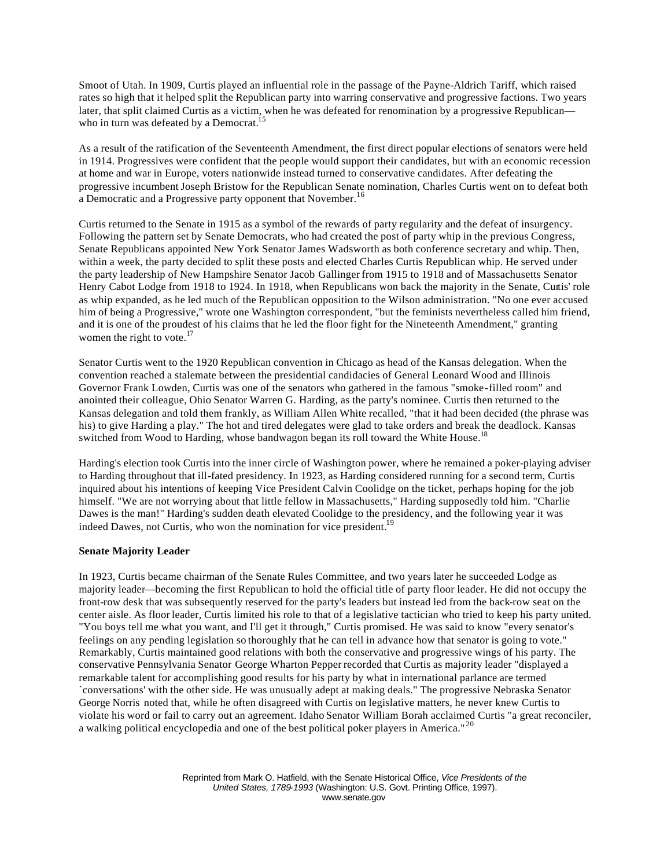Smoot of Utah. In 1909, Curtis played an influential role in the passage of the Payne-Aldrich Tariff, which raised rates so high that it helped split the Republican party into warring conservative and progressive factions. Two years later, that split claimed Curtis as a victim, when he was defeated for renomination by a progressive Republican who in turn was defeated by a Democrat.<sup>15</sup>

As a result of the ratification of the Seventeenth Amendment, the first direct popular elections of senators were held in 1914. Progressives were confident that the people would support their candidates, but with an economic recession at home and war in Europe, voters nationwide instead turned to conservative candidates. After defeating the progressive incumbent Joseph Bristow for the Republican Senate nomination, Charles Curtis went on to defeat both a Democratic and a Progressive party opponent that November.<sup>16</sup>

Curtis returned to the Senate in 1915 as a symbol of the rewards of party regularity and the defeat of insurgency. Following the pattern set by Senate Democrats, who had created the post of party whip in the previous Congress, Senate Republicans appointed New York Senator James Wadsworth as both conference secretary and whip. Then, within a week, the party decided to split these posts and elected Charles Curtis Republican whip. He served under the party leadership of New Hampshire Senator Jacob Gallinger from 1915 to 1918 and of Massachusetts Senator Henry Cabot Lodge from 1918 to 1924. In 1918, when Republicans won back the majority in the Senate, Curtis' role as whip expanded, as he led much of the Republican opposition to the Wilson administration. "No one ever accused him of being a Progressive," wrote one Washington correspondent, "but the feminists nevertheless called him friend, and it is one of the proudest of his claims that he led the floor fight for the Nineteenth Amendment," granting women the right to vote. $17$ 

Senator Curtis went to the 1920 Republican convention in Chicago as head of the Kansas delegation. When the convention reached a stalemate between the presidential candidacies of General Leonard Wood and Illinois Governor Frank Lowden, Curtis was one of the senators who gathered in the famous "smoke-filled room" and anointed their colleague, Ohio Senator Warren G. Harding, as the party's nominee. Curtis then returned to the Kansas delegation and told them frankly, as William Allen White recalled, "that it had been decided (the phrase was his) to give Harding a play." The hot and tired delegates were glad to take orders and break the deadlock. Kansas switched from Wood to Harding, whose bandwagon began its roll toward the White House.<sup>18</sup>

Harding's election took Curtis into the inner circle of Washington power, where he remained a poker-playing adviser to Harding throughout that ill-fated presidency. In 1923, as Harding considered running for a second term, Curtis inquired about his intentions of keeping Vice President Calvin Coolidge on the ticket, perhaps hoping for the job himself. "We are not worrying about that little fellow in Massachusetts," Harding supposedly told him. "Charlie Dawes is the man!" Harding's sudden death elevated Coolidge to the presidency, and the following year it was indeed Dawes, not Curtis, who won the nomination for vice president.<sup>19</sup>

#### **Senate Majority Leader**

In 1923, Curtis became chairman of the Senate Rules Committee, and two years later he succeeded Lodge as majority leader—becoming the first Republican to hold the official title of party floor leader. He did not occupy the front-row desk that was subsequently reserved for the party's leaders but instead led from the back-row seat on the center aisle. As floor leader, Curtis limited his role to that of a legislative tactician who tried to keep his party united. "You boys tell me what you want, and I'll get it through," Curtis promised. He was said to know "every senator's feelings on any pending legislation so thoroughly that he can tell in advance how that senator is going to vote." Remarkably, Curtis maintained good relations with both the conservative and progressive wings of his party. The conservative Pennsylvania Senator George Wharton Pepper recorded that Curtis as majority leader "displayed a remarkable talent for accomplishing good results for his party by what in international parlance are termed `conversations' with the other side. He was unusually adept at making deals." The progressive Nebraska Senator George Norris noted that, while he often disagreed with Curtis on legislative matters, he never knew Curtis to violate his word or fail to carry out an agreement. Idaho Senator William Borah acclaimed Curtis "a great reconciler, a walking political encyclopedia and one of the best political poker players in America."<sup>20</sup>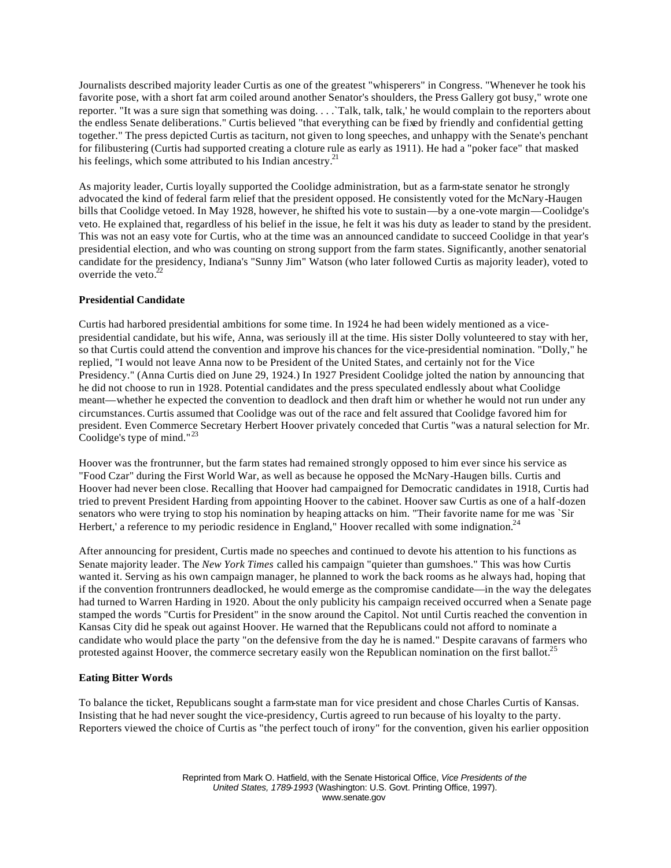Journalists described majority leader Curtis as one of the greatest "whisperers" in Congress. "Whenever he took his favorite pose, with a short fat arm coiled around another Senator's shoulders, the Press Gallery got busy," wrote one reporter. "It was a sure sign that something was doing. . . .`Talk, talk, talk,' he would complain to the reporters about the endless Senate deliberations." Curtis believed "that everything can be fixed by friendly and confidential getting together." The press depicted Curtis as taciturn, not given to long speeches, and unhappy with the Senate's penchant for filibustering (Curtis had supported creating a cloture rule as early as 1911). He had a "poker face" that masked his feelings, which some attributed to his Indian ancestry. $^{21}$ 

As majority leader, Curtis loyally supported the Coolidge administration, but as a farm-state senator he strongly advocated the kind of federal farm relief that the president opposed. He consistently voted for the McNary-Haugen bills that Coolidge vetoed. In May 1928, however, he shifted his vote to sustain—by a one-vote margin—Coolidge's veto. He explained that, regardless of his belief in the issue, he felt it was his duty as leader to stand by the president. This was not an easy vote for Curtis, who at the time was an announced candidate to succeed Coolidge in that year's presidential election, and who was counting on strong support from the farm states. Significantly, another senatorial candidate for the presidency, Indiana's "Sunny Jim" Watson (who later followed Curtis as majority leader), voted to override the veto. $2^2$ 

## **Presidential Candidate**

Curtis had harbored presidential ambitions for some time. In 1924 he had been widely mentioned as a vicepresidential candidate, but his wife, Anna, was seriously ill at the time. His sister Dolly volunteered to stay with her, so that Curtis could attend the convention and improve his chances for the vice-presidential nomination. "Dolly," he replied, "I would not leave Anna now to be President of the United States, and certainly not for the Vice Presidency." (Anna Curtis died on June 29, 1924.) In 1927 President Coolidge jolted the nation by announcing that he did not choose to run in 1928. Potential candidates and the press speculated endlessly about what Coolidge meant—whether he expected the convention to deadlock and then draft him or whether he would not run under any circumstances. Curtis assumed that Coolidge was out of the race and felt assured that Coolidge favored him for president. Even Commerce Secretary Herbert Hoover privately conceded that Curtis "was a natural selection for Mr. Coolidge's type of mind." <sup>23</sup>

Hoover was the frontrunner, but the farm states had remained strongly opposed to him ever since his service as "Food Czar" during the First World War, as well as because he opposed the McNary-Haugen bills. Curtis and Hoover had never been close. Recalling that Hoover had campaigned for Democratic candidates in 1918, Curtis had tried to prevent President Harding from appointing Hoover to the cabinet. Hoover saw Curtis as one of a half-dozen senators who were trying to stop his nomination by heaping attacks on him. "Their favorite name for me was `Sir Herbert,' a reference to my periodic residence in England," Hoover recalled with some indignation.<sup>24</sup>

After announcing for president, Curtis made no speeches and continued to devote his attention to his functions as Senate majority leader. The *New York Times* called his campaign "quieter than gumshoes." This was how Curtis wanted it. Serving as his own campaign manager, he planned to work the back rooms as he always had, hoping that if the convention frontrunners deadlocked, he would emerge as the compromise candidate—in the way the delegates had turned to Warren Harding in 1920. About the only publicity his campaign received occurred when a Senate page stamped the words "Curtis for President" in the snow around the Capitol. Not until Curtis reached the convention in Kansas City did he speak out against Hoover. He warned that the Republicans could not afford to nominate a candidate who would place the party "on the defensive from the day he is named." Despite caravans of farmers who protested against Hoover, the commerce secretary easily won the Republican nomination on the first ballot.<sup>25</sup>

# **Eating Bitter Words**

To balance the ticket, Republicans sought a farm-state man for vice president and chose Charles Curtis of Kansas. Insisting that he had never sought the vice-presidency, Curtis agreed to run because of his loyalty to the party. Reporters viewed the choice of Curtis as "the perfect touch of irony" for the convention, given his earlier opposition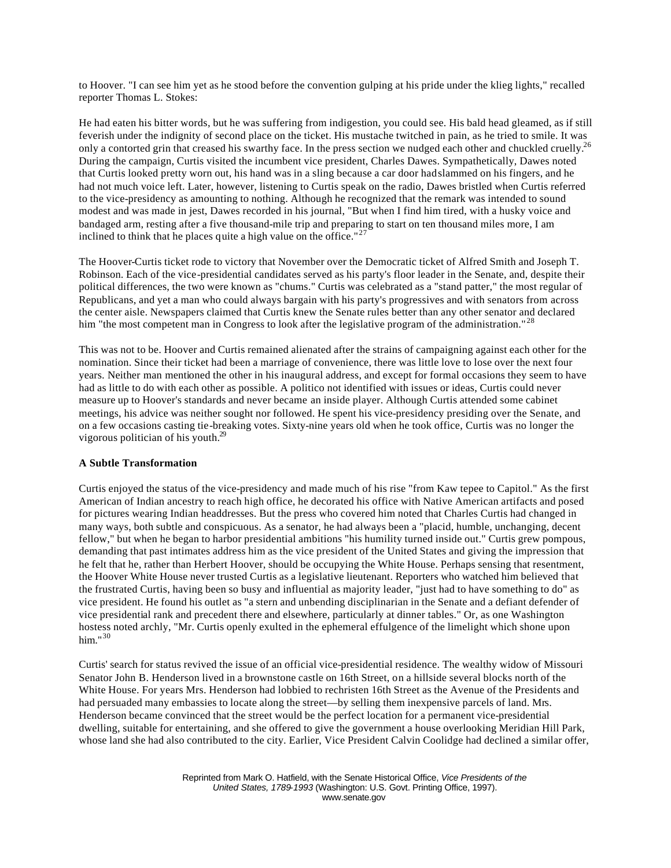to Hoover. "I can see him yet as he stood before the convention gulping at his pride under the klieg lights," recalled reporter Thomas L. Stokes:

He had eaten his bitter words, but he was suffering from indigestion, you could see. His bald head gleamed, as if still feverish under the indignity of second place on the ticket. His mustache twitched in pain, as he tried to smile. It was only a contorted grin that creased his swarthy face. In the press section we nudged each other and chuckled cruelly.<sup>26</sup> During the campaign, Curtis visited the incumbent vice president, Charles Dawes. Sympathetically, Dawes noted that Curtis looked pretty worn out, his hand was in a sling because a car door had slammed on his fingers, and he had not much voice left. Later, however, listening to Curtis speak on the radio, Dawes bristled when Curtis referred to the vice-presidency as amounting to nothing. Although he recognized that the remark was intended to sound modest and was made in jest, Dawes recorded in his journal, "But when I find him tired, with a husky voice and bandaged arm, resting after a five thousand-mile trip and preparing to start on ten thousand miles more, I am inclined to think that he places quite a high value on the office." $27$ 

The Hoover-Curtis ticket rode to victory that November over the Democratic ticket of Alfred Smith and Joseph T. Robinson. Each of the vice-presidential candidates served as his party's floor leader in the Senate, and, despite their political differences, the two were known as "chums." Curtis was celebrated as a "stand patter," the most regular of Republicans, and yet a man who could always bargain with his party's progressives and with senators from across the center aisle. Newspapers claimed that Curtis knew the Senate rules better than any other senator and declared him "the most competent man in Congress to look after the legislative program of the administration."<sup>28</sup>

This was not to be. Hoover and Curtis remained alienated after the strains of campaigning against each other for the nomination. Since their ticket had been a marriage of convenience, there was little love to lose over the next four years. Neither man mentioned the other in his inaugural address, and except for formal occasions they seem to have had as little to do with each other as possible. A politico not identified with issues or ideas, Curtis could never measure up to Hoover's standards and never became an inside player. Although Curtis attended some cabinet meetings, his advice was neither sought nor followed. He spent his vice-presidency presiding over the Senate, and on a few occasions casting tie-breaking votes. Sixty-nine years old when he took office, Curtis was no longer the vigorous politician of his youth.<sup>29</sup>

#### **A Subtle Transformation**

Curtis enjoyed the status of the vice-presidency and made much of his rise "from Kaw tepee to Capitol." As the first American of Indian ancestry to reach high office, he decorated his office with Native American artifacts and posed for pictures wearing Indian headdresses. But the press who covered him noted that Charles Curtis had changed in many ways, both subtle and conspicuous. As a senator, he had always been a "placid, humble, unchanging, decent fellow," but when he began to harbor presidential ambitions "his humility turned inside out." Curtis grew pompous, demanding that past intimates address him as the vice president of the United States and giving the impression that he felt that he, rather than Herbert Hoover, should be occupying the White House. Perhaps sensing that resentment, the Hoover White House never trusted Curtis as a legislative lieutenant. Reporters who watched him believed that the frustrated Curtis, having been so busy and influential as majority leader, "just had to have something to do" as vice president. He found his outlet as "a stern and unbending disciplinarian in the Senate and a defiant defender of vice presidential rank and precedent there and elsewhere, particularly at dinner tables." Or, as one Washington hostess noted archly, "Mr. Curtis openly exulted in the ephemeral effulgence of the limelight which shone upon him."<sup>30</sup>

Curtis' search for status revived the issue of an official vice-presidential residence. The wealthy widow of Missouri Senator John B. Henderson lived in a brownstone castle on 16th Street, on a hillside several blocks north of the White House. For years Mrs. Henderson had lobbied to rechristen 16th Street as the Avenue of the Presidents and had persuaded many embassies to locate along the street—by selling them inexpensive parcels of land. Mrs. Henderson became convinced that the street would be the perfect location for a permanent vice-presidential dwelling, suitable for entertaining, and she offered to give the government a house overlooking Meridian Hill Park, whose land she had also contributed to the city. Earlier, Vice President Calvin Coolidge had declined a similar offer,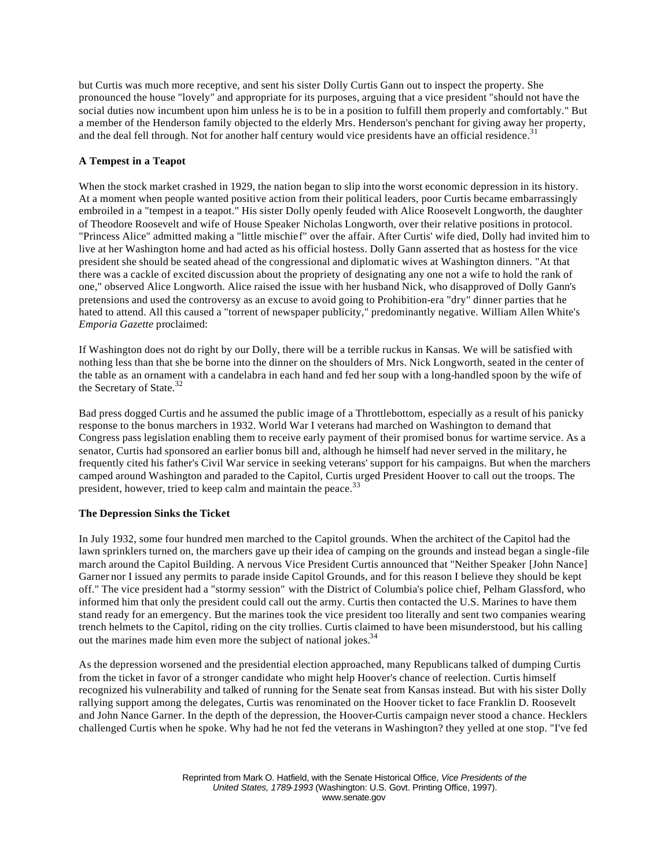but Curtis was much more receptive, and sent his sister Dolly Curtis Gann out to inspect the property. She pronounced the house "lovely" and appropriate for its purposes, arguing that a vice president "should not have the social duties now incumbent upon him unless he is to be in a position to fulfill them properly and comfortably." But a member of the Henderson family objected to the elderly Mrs. Henderson's penchant for giving away her property, and the deal fell through. Not for another half century would vice presidents have an official residence.<sup>31</sup>

# **A Tempest in a Teapot**

When the stock market crashed in 1929, the nation began to slip into the worst economic depression in its history. At a moment when people wanted positive action from their political leaders, poor Curtis became embarrassingly embroiled in a "tempest in a teapot." His sister Dolly openly feuded with Alice Roosevelt Longworth, the daughter of Theodore Roosevelt and wife of House Speaker Nicholas Longworth, over their relative positions in protocol. "Princess Alice" admitted making a "little mischief" over the affair. After Curtis' wife died, Dolly had invited him to live at her Washington home and had acted as his official hostess. Dolly Gann asserted that as hostess for the vice president she should be seated ahead of the congressional and diplomatic wives at Washington dinners. "At that there was a cackle of excited discussion about the propriety of designating any one not a wife to hold the rank of one," observed Alice Longworth. Alice raised the issue with her husband Nick, who disapproved of Dolly Gann's pretensions and used the controversy as an excuse to avoid going to Prohibition-era "dry" dinner parties that he hated to attend. All this caused a "torrent of newspaper publicity," predominantly negative. William Allen White's *Emporia Gazette* proclaimed:

If Washington does not do right by our Dolly, there will be a terrible ruckus in Kansas. We will be satisfied with nothing less than that she be borne into the dinner on the shoulders of Mrs. Nick Longworth, seated in the center of the table as an ornament with a candelabra in each hand and fed her soup with a long-handled spoon by the wife of the Secretary of State.<sup>32</sup>

Bad press dogged Curtis and he assumed the public image of a Throttlebottom, especially as a result of his panicky response to the bonus marchers in 1932. World War I veterans had marched on Washington to demand that Congress pass legislation enabling them to receive early payment of their promised bonus for wartime service. As a senator, Curtis had sponsored an earlier bonus bill and, although he himself had never served in the military, he frequently cited his father's Civil War service in seeking veterans' support for his campaigns. But when the marchers camped around Washington and paraded to the Capitol, Curtis urged President Hoover to call out the troops. The president, however, tried to keep calm and maintain the peace.<sup>33</sup>

# **The Depression Sinks the Ticket**

In July 1932, some four hundred men marched to the Capitol grounds. When the architect of the Capitol had the lawn sprinklers turned on, the marchers gave up their idea of camping on the grounds and instead began a single-file march around the Capitol Building. A nervous Vice President Curtis announced that "Neither Speaker [John Nance] Garner nor I issued any permits to parade inside Capitol Grounds, and for this reason I believe they should be kept off." The vice president had a "stormy session" with the District of Columbia's police chief, Pelham Glassford, who informed him that only the president could call out the army. Curtis then contacted the U.S. Marines to have them stand ready for an emergency. But the marines took the vice president too literally and sent two companies wearing trench helmets to the Capitol, riding on the city trollies. Curtis claimed to have been misunderstood, but his calling out the marines made him even more the subject of national jokes.<sup>34</sup>

As the depression worsened and the presidential election approached, many Republicans talked of dumping Curtis from the ticket in favor of a stronger candidate who might help Hoover's chance of reelection. Curtis himself recognized his vulnerability and talked of running for the Senate seat from Kansas instead. But with his sister Dolly rallying support among the delegates, Curtis was renominated on the Hoover ticket to face Franklin D. Roosevelt and John Nance Garner. In the depth of the depression, the Hoover-Curtis campaign never stood a chance. Hecklers challenged Curtis when he spoke. Why had he not fed the veterans in Washington? they yelled at one stop. "I've fed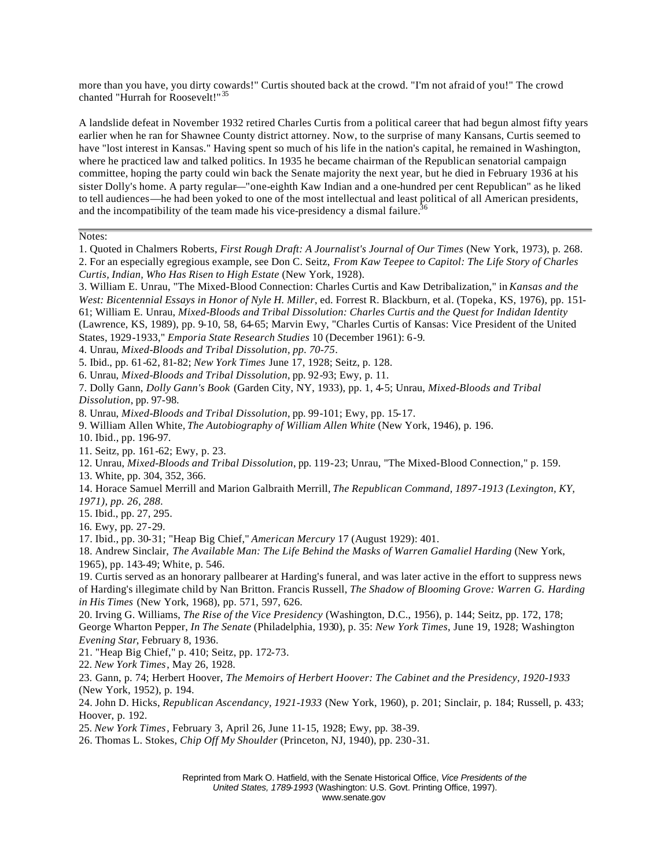more than you have, you dirty cowards!" Curtis shouted back at the crowd. "I'm not afraid of you!" The crowd chanted "Hurrah for Roosevelt!" <sup>35</sup>

A landslide defeat in November 1932 retired Charles Curtis from a political career that had begun almost fifty years earlier when he ran for Shawnee County district attorney. Now, to the surprise of many Kansans, Curtis seemed to have "lost interest in Kansas." Having spent so much of his life in the nation's capital, he remained in Washington, where he practiced law and talked politics. In 1935 he became chairman of the Republican senatorial campaign committee, hoping the party could win back the Senate majority the next year, but he died in February 1936 at his sister Dolly's home. A party regular—"one-eighth Kaw Indian and a one-hundred per cent Republican" as he liked to tell audiences—he had been yoked to one of the most intellectual and least political of all American presidents, and the incompatibility of the team made his vice-presidency a dismal failure.<sup>36</sup>

Notes:

| 1. Quoted in Chalmers Roberts, First Rough Draft: A Journalist's Journal of Our Times (New York, 1973), p. 268.<br>2. For an especially egregious example, see Don C. Seitz, From Kaw Teepee to Capitol: The Life Story of Charles<br>Curtis, Indian, Who Has Risen to High Estate (New York, 1928).<br>3. William E. Unrau, "The Mixed-Blood Connection: Charles Curtis and Kaw Detribalization," in Kansas and the<br>West: Bicentennial Essays in Honor of Nyle H. Miller, ed. Forrest R. Blackburn, et al. (Topeka, KS, 1976), pp. 151-<br>61; William E. Unrau, Mixed-Bloods and Tribal Dissolution: Charles Curtis and the Quest for Indidan Identity<br>(Lawrence, KS, 1989), pp. 9-10, 58, 64-65; Marvin Ewy, "Charles Curtis of Kansas: Vice President of the United<br>States, 1929-1933," Emporia State Research Studies 10 (December 1961): 6-9.<br>4. Unrau, Mixed-Bloods and Tribal Dissolution, pp. 70-75.<br>5. Ibid., pp. 61-62, 81-82; New York Times June 17, 1928; Seitz, p. 128.<br>6. Unrau, Mixed-Bloods and Tribal Dissolution, pp. 92-93; Ewy, p. 11.<br>7. Dolly Gann, Dolly Gann's Book (Garden City, NY, 1933), pp. 1, 4-5; Unrau, Mixed-Bloods and Tribal<br>Dissolution, pp. 97-98.<br>8. Unrau, Mixed-Bloods and Tribal Dissolution, pp. 99-101; Ewy, pp. 15-17.<br>9. William Allen White, The Autobiography of William Allen White (New York, 1946), p. 196.<br>10. Ibid., pp. 196-97.<br>11. Seitz, pp. 161-62; Ewy, p. 23. |
|---------------------------------------------------------------------------------------------------------------------------------------------------------------------------------------------------------------------------------------------------------------------------------------------------------------------------------------------------------------------------------------------------------------------------------------------------------------------------------------------------------------------------------------------------------------------------------------------------------------------------------------------------------------------------------------------------------------------------------------------------------------------------------------------------------------------------------------------------------------------------------------------------------------------------------------------------------------------------------------------------------------------------------------------------------------------------------------------------------------------------------------------------------------------------------------------------------------------------------------------------------------------------------------------------------------------------------------------------------------------------------------------------------------------------------------------------------------|
| 12. Unrau, Mixed-Bloods and Tribal Dissolution, pp. 119-23; Unrau, "The Mixed-Blood Connection," p. 159.                                                                                                                                                                                                                                                                                                                                                                                                                                                                                                                                                                                                                                                                                                                                                                                                                                                                                                                                                                                                                                                                                                                                                                                                                                                                                                                                                      |
| 13. White, pp. 304, 352, 366.                                                                                                                                                                                                                                                                                                                                                                                                                                                                                                                                                                                                                                                                                                                                                                                                                                                                                                                                                                                                                                                                                                                                                                                                                                                                                                                                                                                                                                 |
| 14. Horace Samuel Merrill and Marion Galbraith Merrill, The Republican Command, 1897-1913 (Lexington, KY,<br>1971), pp. 26, 288.<br>15. Ibid., pp. 27, 295.                                                                                                                                                                                                                                                                                                                                                                                                                                                                                                                                                                                                                                                                                                                                                                                                                                                                                                                                                                                                                                                                                                                                                                                                                                                                                                   |
| 16. Ewy, pp. 27-29.                                                                                                                                                                                                                                                                                                                                                                                                                                                                                                                                                                                                                                                                                                                                                                                                                                                                                                                                                                                                                                                                                                                                                                                                                                                                                                                                                                                                                                           |
| 17. Ibid., pp. 30-31; "Heap Big Chief," American Mercury 17 (August 1929): 401.                                                                                                                                                                                                                                                                                                                                                                                                                                                                                                                                                                                                                                                                                                                                                                                                                                                                                                                                                                                                                                                                                                                                                                                                                                                                                                                                                                               |
| 18. Andrew Sinclair, The Available Man: The Life Behind the Masks of Warren Gamaliel Harding (New York,                                                                                                                                                                                                                                                                                                                                                                                                                                                                                                                                                                                                                                                                                                                                                                                                                                                                                                                                                                                                                                                                                                                                                                                                                                                                                                                                                       |
| 1965), pp. 143-49; White, p. 546.                                                                                                                                                                                                                                                                                                                                                                                                                                                                                                                                                                                                                                                                                                                                                                                                                                                                                                                                                                                                                                                                                                                                                                                                                                                                                                                                                                                                                             |
| 19. Curtis served as an honorary pallbearer at Harding's funeral, and was later active in the effort to suppress news<br>of Harding's illegimate child by Nan Britton. Francis Russell, The Shadow of Blooming Grove: Warren G. Harding<br>in His Times (New York, 1968), pp. 571, 597, 626.                                                                                                                                                                                                                                                                                                                                                                                                                                                                                                                                                                                                                                                                                                                                                                                                                                                                                                                                                                                                                                                                                                                                                                  |
| 20. Irving G. Williams, The Rise of the Vice Presidency (Washington, D.C., 1956), p. 144; Seitz, pp. 172, 178;<br>George Wharton Pepper, In The Senate (Philadelphia, 1930), p. 35: New York Times, June 19, 1928; Washington<br>Evening Star, February 8, 1936.                                                                                                                                                                                                                                                                                                                                                                                                                                                                                                                                                                                                                                                                                                                                                                                                                                                                                                                                                                                                                                                                                                                                                                                              |
| 21. "Heap Big Chief," p. 410; Seitz, pp. 172-73.                                                                                                                                                                                                                                                                                                                                                                                                                                                                                                                                                                                                                                                                                                                                                                                                                                                                                                                                                                                                                                                                                                                                                                                                                                                                                                                                                                                                              |
| 22. New York Times, May 26, 1928.                                                                                                                                                                                                                                                                                                                                                                                                                                                                                                                                                                                                                                                                                                                                                                                                                                                                                                                                                                                                                                                                                                                                                                                                                                                                                                                                                                                                                             |
| 23. Gann, p. 74; Herbert Hoover, The Memoirs of Herbert Hoover: The Cabinet and the Presidency, 1920-1933                                                                                                                                                                                                                                                                                                                                                                                                                                                                                                                                                                                                                                                                                                                                                                                                                                                                                                                                                                                                                                                                                                                                                                                                                                                                                                                                                     |
| (New York, 1952), p. 194.                                                                                                                                                                                                                                                                                                                                                                                                                                                                                                                                                                                                                                                                                                                                                                                                                                                                                                                                                                                                                                                                                                                                                                                                                                                                                                                                                                                                                                     |
| 24. John D. Hicks, Republican Ascendancy, 1921-1933 (New York, 1960), p. 201; Sinclair, p. 184; Russell, p. 433;                                                                                                                                                                                                                                                                                                                                                                                                                                                                                                                                                                                                                                                                                                                                                                                                                                                                                                                                                                                                                                                                                                                                                                                                                                                                                                                                              |
| Hoover, p. 192.                                                                                                                                                                                                                                                                                                                                                                                                                                                                                                                                                                                                                                                                                                                                                                                                                                                                                                                                                                                                                                                                                                                                                                                                                                                                                                                                                                                                                                               |
| 25. New York Times, February 3, April 26, June 11-15, 1928; Ewy, pp. 38-39.                                                                                                                                                                                                                                                                                                                                                                                                                                                                                                                                                                                                                                                                                                                                                                                                                                                                                                                                                                                                                                                                                                                                                                                                                                                                                                                                                                                   |
| 26. Thomas L. Stokes, Chip Off My Shoulder (Princeton, NJ, 1940), pp. 230-31.                                                                                                                                                                                                                                                                                                                                                                                                                                                                                                                                                                                                                                                                                                                                                                                                                                                                                                                                                                                                                                                                                                                                                                                                                                                                                                                                                                                 |
| Reprinted from Mark O. Hatfield, with the Senate Historical Office, Vice Presidents of the                                                                                                                                                                                                                                                                                                                                                                                                                                                                                                                                                                                                                                                                                                                                                                                                                                                                                                                                                                                                                                                                                                                                                                                                                                                                                                                                                                    |

*United States, 1789-1993* (Washington: U.S. Govt. Printing Office, 1997).